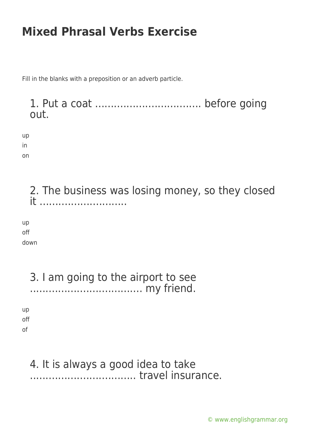Fill in the blanks with a preposition or an adverb particle.

1. Put a coat .................................. before going out.

up in

on

2. The business was losing money, so they closed it ............................

up off down

3. I am going to the airport to see .................................... my friend. up

off of

#### 4. It is always a good idea to take .................................. travel insurance.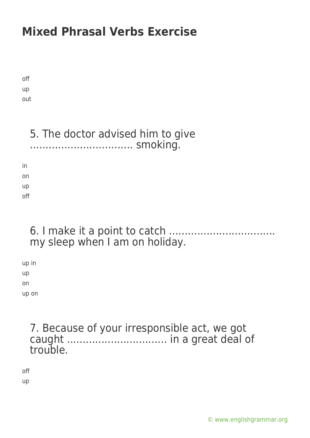off up out

### 5. The doctor advised him to give ................................. smoking.

in on up off

#### 6. I make it a point to catch .................................. my sleep when I am on holiday.

up in up on up on

### 7. Because of your irresponsible act, we got caught ................................ in a great deal of trouble.

off up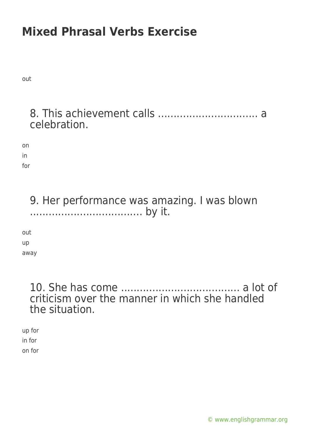out

### 8. This achievement calls ................................ a celebration.

on in for

> 9. Her performance was amazing. I was blown .................................... by it.

out up away

#### 10. She has come ...................................... a lot of criticism over the manner in which she handled the situation.

up for in for on for

[© www.englishgrammar.org](https://www.englishgrammar.org/)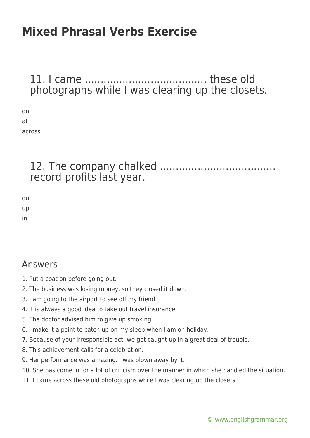#### 11. I came ....................................... these old photographs while I was clearing up the closets.

on at across

### 12. The company chalked ..................................... record profits last year.

out up

in

#### Answers

- 1. Put a coat on before going out.
- 2. The business was losing money, so they closed it down.
- 3. I am going to the airport to see off my friend.
- 4. It is always a good idea to take out travel insurance.
- 5. The doctor advised him to give up smoking.
- 6. I make it a point to catch up on my sleep when I am on holiday.
- 7. Because of your irresponsible act, we got caught up in a great deal of trouble.
- 8. This achievement calls for a celebration.
- 9. Her performance was amazing. I was blown away by it.
- 10. She has come in for a lot of criticism over the manner in which she handled the situation.
- 11. I came across these old photographs while I was clearing up the closets.